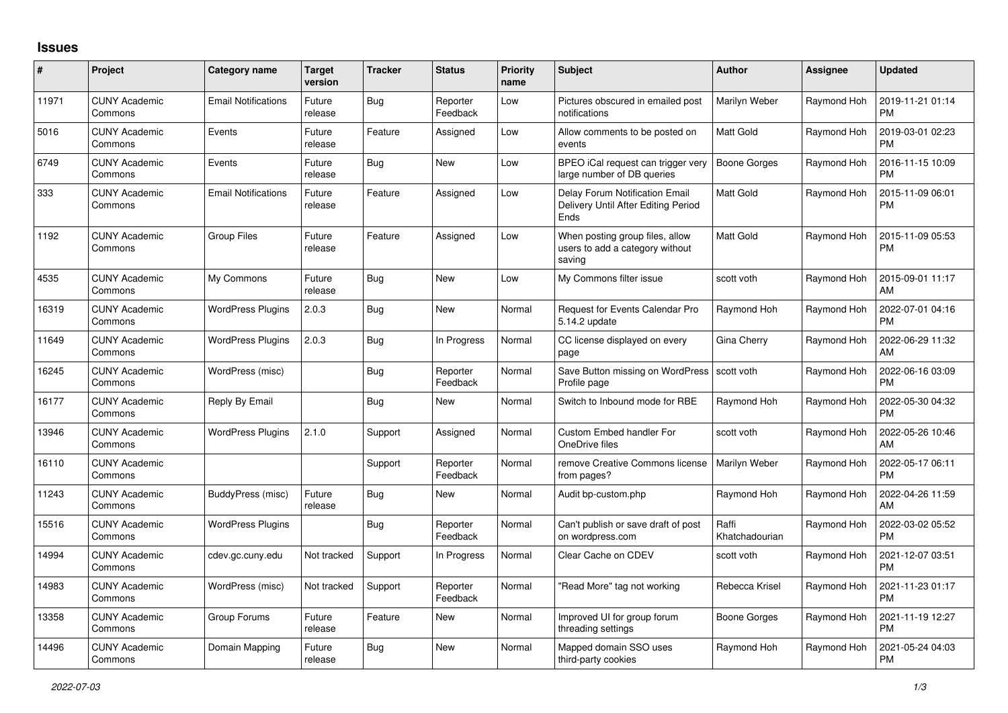## **Issues**

| #     | Project                         | Category name              | <b>Target</b><br>version | <b>Tracker</b> | <b>Status</b>        | <b>Priority</b><br>name | <b>Subject</b>                                                                | <b>Author</b>           | <b>Assignee</b> | <b>Updated</b>                |
|-------|---------------------------------|----------------------------|--------------------------|----------------|----------------------|-------------------------|-------------------------------------------------------------------------------|-------------------------|-----------------|-------------------------------|
| 11971 | <b>CUNY Academic</b><br>Commons | <b>Email Notifications</b> | Future<br>release        | Bug            | Reporter<br>Feedback | Low                     | Pictures obscured in emailed post<br>notifications                            | Marilyn Weber           | Raymond Hoh     | 2019-11-21 01:14<br><b>PM</b> |
| 5016  | <b>CUNY Academic</b><br>Commons | Events                     | Future<br>release        | Feature        | Assigned             | Low                     | Allow comments to be posted on<br>events                                      | <b>Matt Gold</b>        | Raymond Hoh     | 2019-03-01 02:23<br><b>PM</b> |
| 6749  | <b>CUNY Academic</b><br>Commons | Events                     | Future<br>release        | Bug            | <b>New</b>           | Low                     | BPEO iCal request can trigger very<br>large number of DB queries              | Boone Gorges            | Raymond Hoh     | 2016-11-15 10:09<br><b>PM</b> |
| 333   | <b>CUNY Academic</b><br>Commons | <b>Email Notifications</b> | Future<br>release        | Feature        | Assigned             | Low                     | Delay Forum Notification Email<br>Delivery Until After Editing Period<br>Ends | Matt Gold               | Raymond Hoh     | 2015-11-09 06:01<br><b>PM</b> |
| 1192  | <b>CUNY Academic</b><br>Commons | Group Files                | Future<br>release        | Feature        | Assigned             | Low                     | When posting group files, allow<br>users to add a category without<br>saving  | Matt Gold               | Raymond Hoh     | 2015-11-09 05:53<br><b>PM</b> |
| 4535  | <b>CUNY Academic</b><br>Commons | My Commons                 | Future<br>release        | Bug            | <b>New</b>           | Low                     | My Commons filter issue                                                       | scott voth              | Raymond Hoh     | 2015-09-01 11:17<br>AM        |
| 16319 | <b>CUNY Academic</b><br>Commons | <b>WordPress Plugins</b>   | 2.0.3                    | Bug            | <b>New</b>           | Normal                  | Request for Events Calendar Pro<br>5.14.2 update                              | Raymond Hoh             | Raymond Hoh     | 2022-07-01 04:16<br><b>PM</b> |
| 11649 | <b>CUNY Academic</b><br>Commons | WordPress Plugins          | 2.0.3                    | Bug            | In Progress          | Normal                  | CC license displayed on every<br>page                                         | Gina Cherry             | Raymond Hoh     | 2022-06-29 11:32<br>AM        |
| 16245 | <b>CUNY Academic</b><br>Commons | WordPress (misc)           |                          | Bug            | Reporter<br>Feedback | Normal                  | Save Button missing on WordPress<br>Profile page                              | scott voth              | Raymond Hoh     | 2022-06-16 03:09<br><b>PM</b> |
| 16177 | <b>CUNY Academic</b><br>Commons | Reply By Email             |                          | Bug            | <b>New</b>           | Normal                  | Switch to Inbound mode for RBE                                                | Raymond Hoh             | Raymond Hoh     | 2022-05-30 04:32<br><b>PM</b> |
| 13946 | <b>CUNY Academic</b><br>Commons | WordPress Plugins          | 2.1.0                    | Support        | Assigned             | Normal                  | <b>Custom Embed handler For</b><br>OneDrive files                             | scott voth              | Raymond Hoh     | 2022-05-26 10:46<br>AM        |
| 16110 | <b>CUNY Academic</b><br>Commons |                            |                          | Support        | Reporter<br>Feedback | Normal                  | remove Creative Commons license<br>from pages?                                | Marilyn Weber           | Raymond Hoh     | 2022-05-17 06:11<br><b>PM</b> |
| 11243 | <b>CUNY Academic</b><br>Commons | BuddyPress (misc)          | Future<br>release        | Bug            | <b>New</b>           | Normal                  | Audit bp-custom.php                                                           | Raymond Hoh             | Raymond Hoh     | 2022-04-26 11:59<br>AM        |
| 15516 | <b>CUNY Academic</b><br>Commons | <b>WordPress Plugins</b>   |                          | <b>Bug</b>     | Reporter<br>Feedback | Normal                  | Can't publish or save draft of post<br>on wordpress.com                       | Raffi<br>Khatchadourian | Raymond Hoh     | 2022-03-02 05:52<br><b>PM</b> |
| 14994 | <b>CUNY Academic</b><br>Commons | cdev.gc.cuny.edu           | Not tracked              | Support        | In Progress          | Normal                  | Clear Cache on CDEV                                                           | scott voth              | Raymond Hoh     | 2021-12-07 03:51<br><b>PM</b> |
| 14983 | <b>CUNY Academic</b><br>Commons | WordPress (misc)           | Not tracked              | Support        | Reporter<br>Feedback | Normal                  | "Read More" tag not working                                                   | Rebecca Krisel          | Raymond Hoh     | 2021-11-23 01:17<br><b>PM</b> |
| 13358 | <b>CUNY Academic</b><br>Commons | Group Forums               | Future<br>release        | Feature        | <b>New</b>           | Normal                  | Improved UI for group forum<br>threading settings                             | Boone Gorges            | Raymond Hoh     | 2021-11-19 12:27<br><b>PM</b> |
| 14496 | <b>CUNY Academic</b><br>Commons | Domain Mapping             | Future<br>release        | Bug            | <b>New</b>           | Normal                  | Mapped domain SSO uses<br>third-party cookies                                 | Raymond Hoh             | Raymond Hoh     | 2021-05-24 04:03<br><b>PM</b> |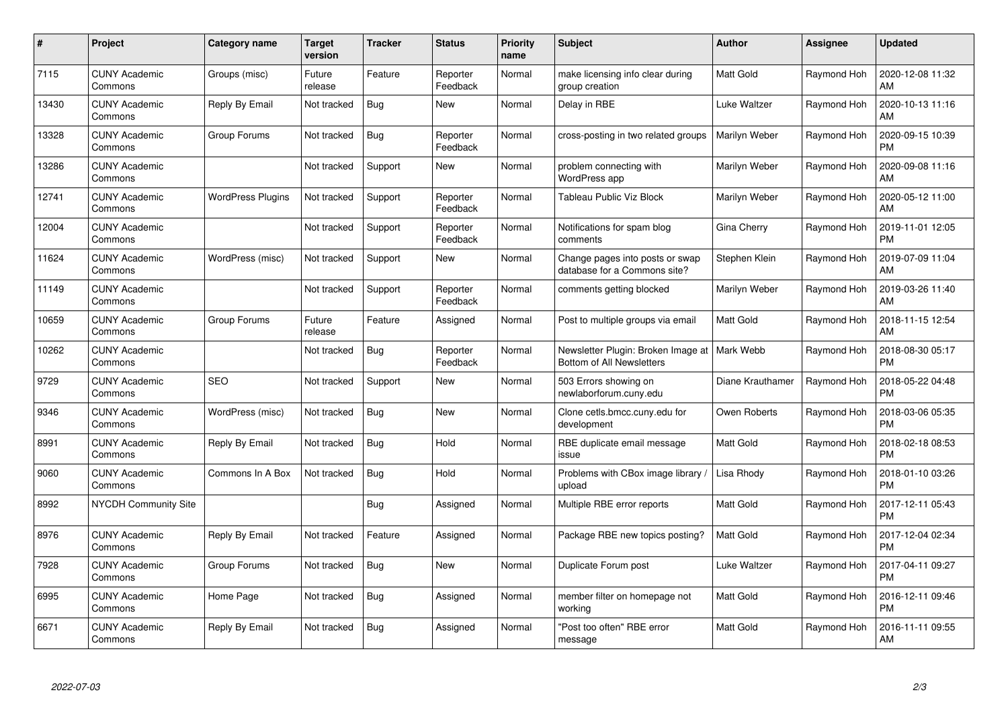| #     | Project                         | Category name            | Target<br>version | Tracker    | <b>Status</b>        | <b>Priority</b><br>name | <b>Subject</b>                                                  | Author           | Assignee    | <b>Updated</b>                |
|-------|---------------------------------|--------------------------|-------------------|------------|----------------------|-------------------------|-----------------------------------------------------------------|------------------|-------------|-------------------------------|
| 7115  | <b>CUNY Academic</b><br>Commons | Groups (misc)            | Future<br>release | Feature    | Reporter<br>Feedback | Normal                  | make licensing info clear during<br>group creation              | Matt Gold        | Raymond Hoh | 2020-12-08 11:32<br>AM        |
| 13430 | <b>CUNY Academic</b><br>Commons | Reply By Email           | Not tracked       | Bug        | New                  | Normal                  | Delay in RBE                                                    | Luke Waltzer     | Raymond Hoh | 2020-10-13 11:16<br>AM        |
| 13328 | <b>CUNY Academic</b><br>Commons | Group Forums             | Not tracked       | Bug        | Reporter<br>Feedback | Normal                  | cross-posting in two related groups                             | Marilyn Weber    | Raymond Hoh | 2020-09-15 10:39<br><b>PM</b> |
| 13286 | <b>CUNY Academic</b><br>Commons |                          | Not tracked       | Support    | New                  | Normal                  | problem connecting with<br>WordPress app                        | Marilyn Weber    | Raymond Hoh | 2020-09-08 11:16<br>AM        |
| 12741 | <b>CUNY Academic</b><br>Commons | <b>WordPress Plugins</b> | Not tracked       | Support    | Reporter<br>Feedback | Normal                  | Tableau Public Viz Block                                        | Marilyn Weber    | Raymond Hoh | 2020-05-12 11:00<br>AM        |
| 12004 | <b>CUNY Academic</b><br>Commons |                          | Not tracked       | Support    | Reporter<br>Feedback | Normal                  | Notifications for spam blog<br>comments                         | Gina Cherry      | Raymond Hoh | 2019-11-01 12:05<br><b>PM</b> |
| 11624 | <b>CUNY Academic</b><br>Commons | WordPress (misc)         | Not tracked       | Support    | New                  | Normal                  | Change pages into posts or swap<br>database for a Commons site? | Stephen Klein    | Raymond Hoh | 2019-07-09 11:04<br>AM        |
| 11149 | <b>CUNY Academic</b><br>Commons |                          | Not tracked       | Support    | Reporter<br>Feedback | Normal                  | comments getting blocked                                        | Marilyn Weber    | Raymond Hoh | 2019-03-26 11:40<br>AM        |
| 10659 | <b>CUNY Academic</b><br>Commons | Group Forums             | Future<br>release | Feature    | Assigned             | Normal                  | Post to multiple groups via email                               | Matt Gold        | Raymond Hoh | 2018-11-15 12:54<br>AM        |
| 10262 | <b>CUNY Academic</b><br>Commons |                          | Not tracked       | <b>Bug</b> | Reporter<br>Feedback | Normal                  | Newsletter Plugin: Broken Image at<br>Bottom of All Newsletters | Mark Webb        | Raymond Hoh | 2018-08-30 05:17<br><b>PM</b> |
| 9729  | <b>CUNY Academic</b><br>Commons | <b>SEO</b>               | Not tracked       | Support    | New                  | Normal                  | 503 Errors showing on<br>newlaborforum.cuny.edu                 | Diane Krauthamer | Raymond Hoh | 2018-05-22 04:48<br><b>PM</b> |
| 9346  | <b>CUNY Academic</b><br>Commons | WordPress (misc)         | Not tracked       | Bug        | <b>New</b>           | Normal                  | Clone cetls.bmcc.cuny.edu for<br>development                    | Owen Roberts     | Raymond Hoh | 2018-03-06 05:35<br><b>PM</b> |
| 8991  | <b>CUNY Academic</b><br>Commons | Reply By Email           | Not tracked       | <b>Bug</b> | Hold                 | Normal                  | RBE duplicate email message<br>issue                            | Matt Gold        | Raymond Hoh | 2018-02-18 08:53<br><b>PM</b> |
| 9060  | <b>CUNY Academic</b><br>Commons | Commons In A Box         | Not tracked       | Bug        | Hold                 | Normal                  | Problems with CBox image library<br>upload                      | Lisa Rhody       | Raymond Hoh | 2018-01-10 03:26<br><b>PM</b> |
| 8992  | <b>NYCDH Community Site</b>     |                          |                   | <b>Bug</b> | Assigned             | Normal                  | Multiple RBE error reports                                      | Matt Gold        | Raymond Hoh | 2017-12-11 05:43<br><b>PM</b> |
| 8976  | <b>CUNY Academic</b><br>Commons | Reply By Email           | Not tracked       | Feature    | Assigned             | Normal                  | Package RBE new topics posting?                                 | Matt Gold        | Raymond Hoh | 2017-12-04 02:34<br><b>PM</b> |
| 7928  | <b>CUNY Academic</b><br>Commons | Group Forums             | Not tracked       | Bug        | New                  | Normal                  | Duplicate Forum post                                            | Luke Waltzer     | Raymond Hoh | 2017-04-11 09:27<br><b>PM</b> |
| 6995  | <b>CUNY Academic</b><br>Commons | Home Page                | Not tracked       | <b>Bug</b> | Assigned             | Normal                  | member filter on homepage not<br>working                        | Matt Gold        | Raymond Hoh | 2016-12-11 09:46<br><b>PM</b> |
| 6671  | CUNY Academic<br>Commons        | Reply By Email           | Not tracked       | <b>Bug</b> | Assigned             | Normal                  | 'Post too often" RBE error<br>message                           | Matt Gold        | Raymond Hoh | 2016-11-11 09:55<br>AM        |